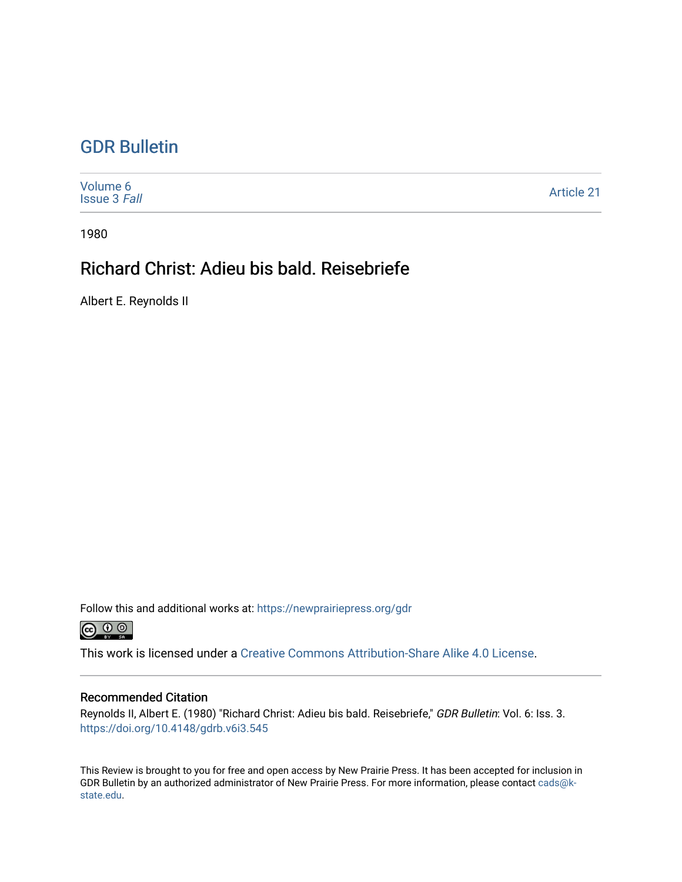## [GDR Bulletin](https://newprairiepress.org/gdr)

[Volume 6](https://newprairiepress.org/gdr/vol6) [Issue 3](https://newprairiepress.org/gdr/vol6/iss3) Fall [Article 21](https://newprairiepress.org/gdr/vol6/iss3/21) 

1980

## Richard Christ: Adieu bis bald. Reisebriefe

Albert E. Reynolds II

Follow this and additional works at: [https://newprairiepress.org/gdr](https://newprairiepress.org/gdr?utm_source=newprairiepress.org%2Fgdr%2Fvol6%2Fiss3%2F21&utm_medium=PDF&utm_campaign=PDFCoverPages) 



This work is licensed under a [Creative Commons Attribution-Share Alike 4.0 License.](https://creativecommons.org/licenses/by-sa/4.0/)

## Recommended Citation

Reynolds II, Albert E. (1980) "Richard Christ: Adieu bis bald. Reisebriefe," GDR Bulletin: Vol. 6: Iss. 3. <https://doi.org/10.4148/gdrb.v6i3.545>

This Review is brought to you for free and open access by New Prairie Press. It has been accepted for inclusion in GDR Bulletin by an authorized administrator of New Prairie Press. For more information, please contact [cads@k](mailto:cads@k-state.edu)[state.edu](mailto:cads@k-state.edu).